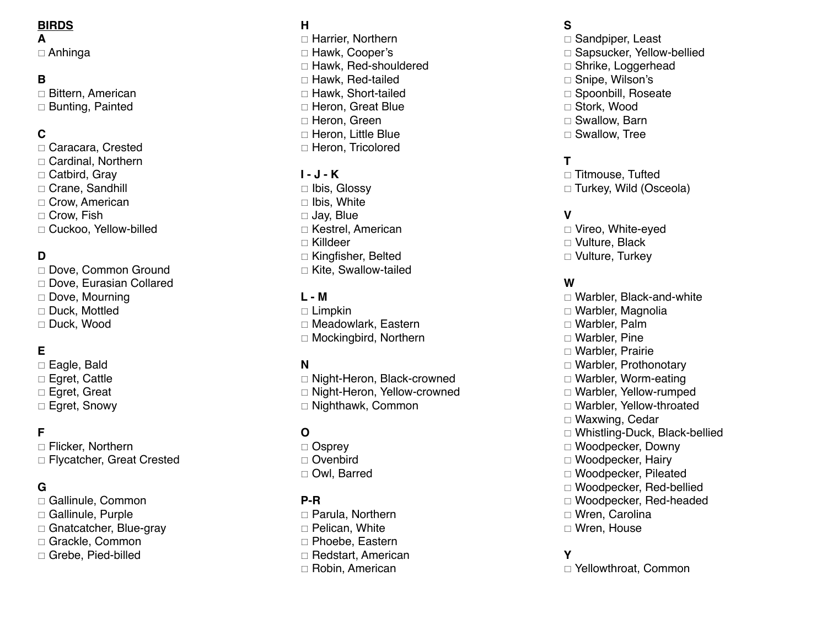#### **BIRDS**

**A**

 $\Box$  Anhinga

# **B**

 $\Box$  Bittern, American  $\Box$  Bunting, Painted

## **C**

 $\Box$  Caracara, Crested  $\Box$  Cardinal, Northern  $\Box$  Catbird, Gray □ Crane, Sandhill  $\Box$  Crow, American  $\Box$  Crow, Fish □ Cuckoo, Yellow-billed

# **D**

□ Dove, Common Ground  $\Box$  Dove, Eurasian Collared  $\Box$  Dove, Mourning  $\square$  Duck, Mottled □ Duck, Wood

# **E**

 $\square$  Eagle, Bald  $\Box$  Egret, Cattle  $\square$  Egret, Great  $\square$  Egret, Snowy

#### **F**

 $\Box$  Flicker, Northern □ Flycatcher, Great Crested

#### **G**

 $\square$  Gallinule, Common  $\Box$  Gallinule, Purple  $\Box$  Gnatcatcher, Blue-gray  $\Box$  Grackle, Common □ Grebe, Pied-billed

#### **H**

 $\Box$  Harrier, Northern □ Hawk, Cooper's  $\Box$  Hawk, Red-shouldered  $\Box$  Hawk, Red-tailed  $\Box$  Hawk, Short-tailed  $\Box$  Heron, Great Blue □ Heron, Green  $\Box$  Heron, Little Blue □ Heron, Tricolored

#### **I - J - K**

 $\Box$  Ibis, Glossy  $\Box$  Ibis, White  $\Box$  Jay, Blue  $\Box$  Kestrel, American  $\sqcap$  Killdeer  $\Box$  Kingfisher, Belted  $\Box$  Kite, Swallow-tailed

#### **L - M**

 $\Box$  Limpkin  $\Box$  Meadowlark, Eastern  $\Box$  Mockingbird, Northern

#### **N**

 $\Box$  Night-Heron, Black-crowned □ Night-Heron, Yellow-crowned  $\Box$  Nighthawk, Common

#### **O**

 $\Box$  Osprey  $\Box$  Ovenbird  $\Box$  Owl, Barred

#### **P-R**

□ Parula, Northern  $\Box$  Pelican, White  $\Box$  Phoebe, Eastern  $\Box$  Redstart, American  $\Box$  Robin, American

#### **S**

 $\Box$  Sandpiper, Least □ Sapsucker, Yellow-bellied  $\Box$  Shrike, Loggerhead □ Snipe, Wilson's  $\Box$  Spoonbill, Roseate □ Stork, Wood  $\Box$  Swallow, Barn  $\square$  Swallow, Tree

### **T**

 $\Box$  Titmouse, Tufted  $\Box$  Turkey, Wild (Osceola)

## **V**

□ Vireo, White-eyed  $\Box$  Vulture, Black  $\Box$  Vulture, Turkey

#### **W**

 $\Box$  Warbler, Black-and-white  $\Box$  Warbler, Magnolia  $\Box$  Warbler, Palm  $\Box$  Warbler, Pine  $\Box$  Warbler, Prairie  $\Box$  Warbler, Prothonotary  $\Box$  Warbler, Worm-eating  $\Box$  Warbler, Yellow-rumped  $\Box$  Warbler, Yellow-throated  $\Box$  Waxwing, Cedar  $\Box$  Whistling-Duck, Black-bellied  $\Box$  Woodpecker, Downy  $\Box$  Woodpecker, Hairy  $\Box$  Woodpecker, Pileated  $\Box$  Woodpecker, Red-bellied  $\Box$  Woodpecker, Red-headed  $\Box$  Wren, Carolina  $\Box$  Wren, House

#### **Y**

 $\Box$  Yellowthroat, Common